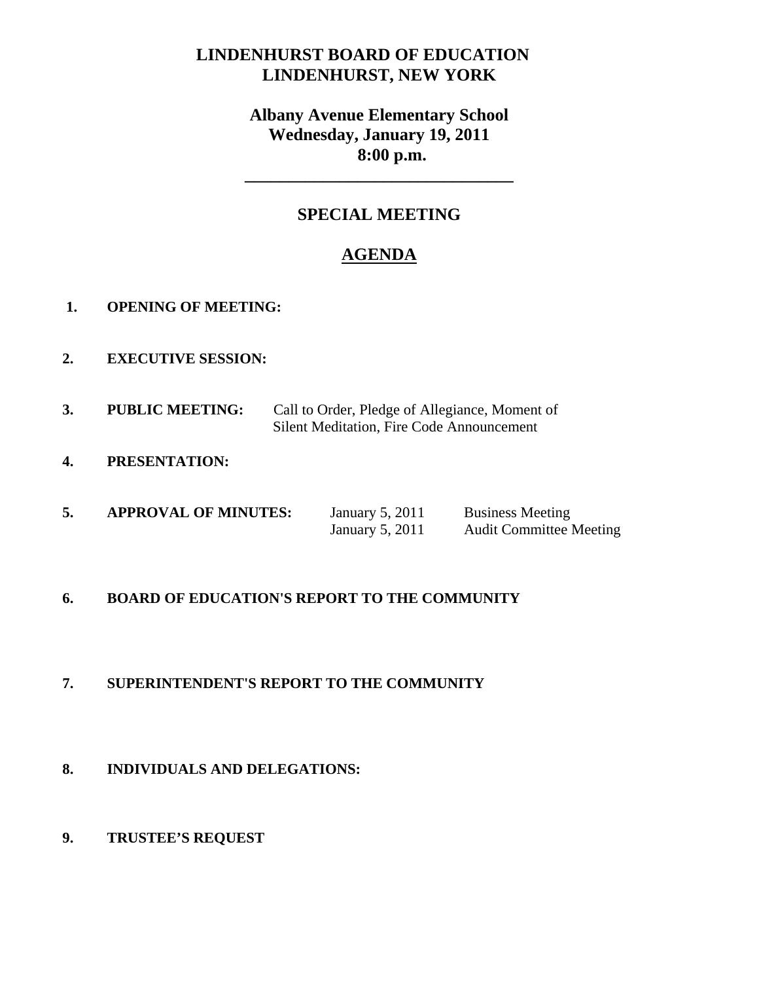# **LINDENHURST BOARD OF EDUCATION LINDENHURST, NEW YORK**

# **Albany Avenue Elementary School Wednesday, January 19, 2011 8:00 p.m.**

# **SPECIAL MEETING**

**\_\_\_\_\_\_\_\_\_\_\_\_\_\_\_\_\_\_\_\_\_\_\_\_\_\_\_\_\_\_\_** 

# **AGENDA**

- **1. OPENING OF MEETING:**
- **2. EXECUTIVE SESSION:**
- **3. PUBLIC MEETING:** Call to Order, Pledge of Allegiance, Moment of Silent Meditation, Fire Code Announcement
- **4. PRESENTATION:**

| 5. | <b>APPROVAL OF MINUTES:</b> | January 5, 2011 | <b>Business Meeting</b>        |
|----|-----------------------------|-----------------|--------------------------------|
|    |                             | January 5, 2011 | <b>Audit Committee Meeting</b> |

## **6. BOARD OF EDUCATION'S REPORT TO THE COMMUNITY**

# **7. SUPERINTENDENT'S REPORT TO THE COMMUNITY**

## **8. INDIVIDUALS AND DELEGATIONS:**

## **9. TRUSTEE'S REQUEST**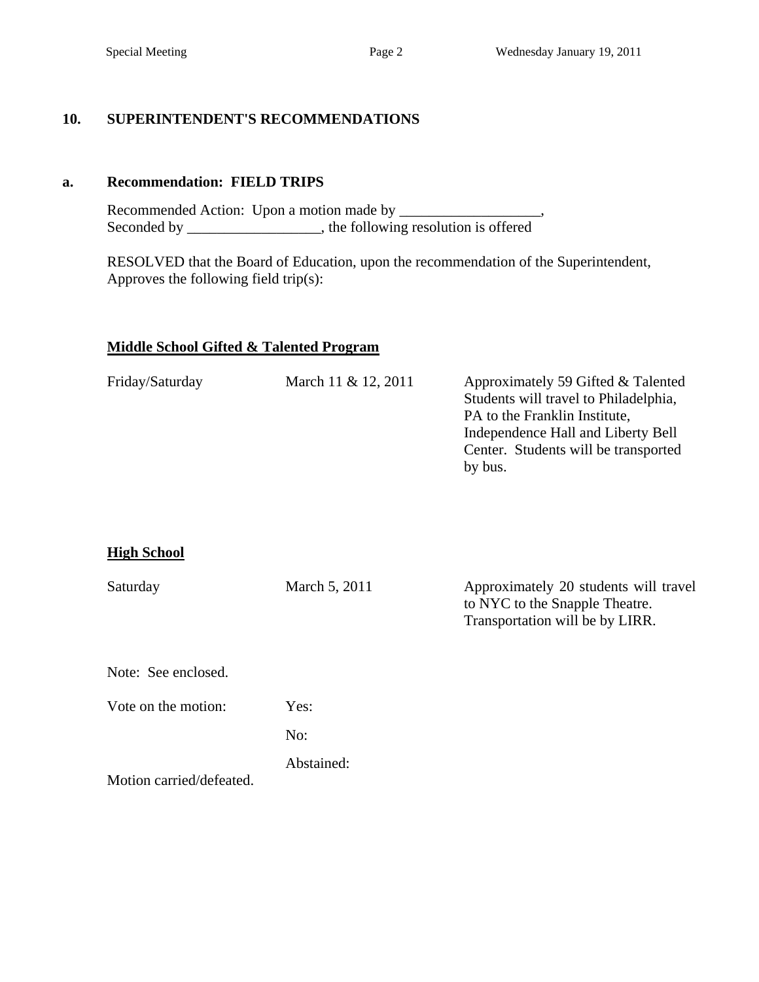### **10. SUPERINTENDENT'S RECOMMENDATIONS**

#### **a. Recommendation: FIELD TRIPS**

 Recommended Action: Upon a motion made by \_\_\_\_\_\_\_\_\_\_\_\_\_\_\_\_\_\_\_, Seconded by \_\_\_\_\_\_\_\_\_\_\_\_\_, the following resolution is offered

 RESOLVED that the Board of Education, upon the recommendation of the Superintendent, Approves the following field trip(s):

#### **Middle School Gifted & Talented Program**

| March 11 & 12, 2011 | Approximately 59 Gifted & Talented    |
|---------------------|---------------------------------------|
|                     | Students will travel to Philadelphia, |
|                     | PA to the Franklin Institute,         |
|                     | Independence Hall and Liberty Bell    |
|                     | Center. Students will be transported  |
|                     | by bus.                               |
|                     |                                       |

#### **High School**

| Saturday                 | March 5, 2011 | Approximately 20 students will travel<br>to NYC to the Snapple Theatre.<br>Transportation will be by LIRR. |
|--------------------------|---------------|------------------------------------------------------------------------------------------------------------|
| Note: See enclosed.      |               |                                                                                                            |
| Vote on the motion:      | Yes:          |                                                                                                            |
|                          | No:           |                                                                                                            |
| Motion carried/defeated. | Abstained:    |                                                                                                            |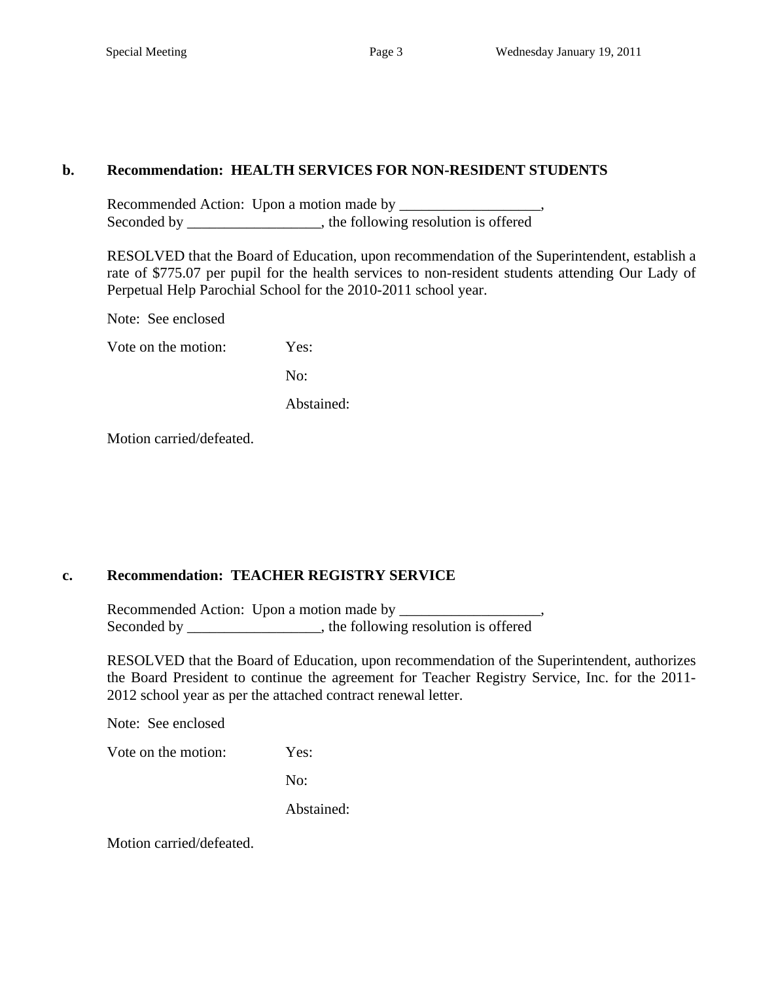#### **b. Recommendation: HEALTH SERVICES FOR NON-RESIDENT STUDENTS**

Recommended Action: Upon a motion made by \_\_\_\_\_\_\_\_\_\_\_\_\_\_\_\_\_\_\_, Seconded by \_\_\_\_\_\_\_\_\_\_\_\_\_\_\_, the following resolution is offered

RESOLVED that the Board of Education, upon recommendation of the Superintendent, establish a rate of \$775.07 per pupil for the health services to non-resident students attending Our Lady of Perpetual Help Parochial School for the 2010-2011 school year.

Note: See enclosed

Vote on the motion: Yes:

No:

Abstained:

Motion carried/defeated.

## **c. Recommendation: TEACHER REGISTRY SERVICE**

Recommended Action: Upon a motion made by \_\_\_\_\_\_\_\_\_\_\_\_\_\_\_\_\_\_\_, Seconded by \_\_\_\_\_\_\_\_\_\_\_\_\_\_\_, the following resolution is offered

RESOLVED that the Board of Education, upon recommendation of the Superintendent, authorizes the Board President to continue the agreement for Teacher Registry Service, Inc. for the 2011- 2012 school year as per the attached contract renewal letter.

Note: See enclosed

Vote on the motion: Yes:

No:

Abstained:

Motion carried/defeated.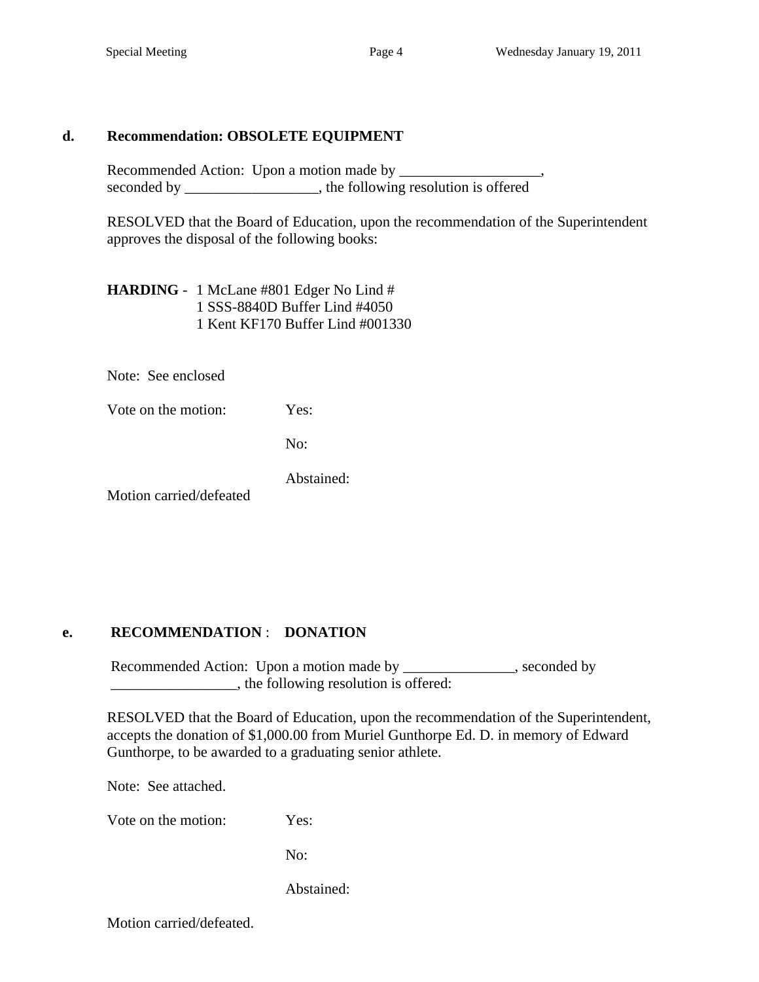#### **d. Recommendation: OBSOLETE EQUIPMENT**

Recommended Action: Upon a motion made by \_\_\_\_\_\_\_\_\_\_\_\_\_\_ seconded by \_\_\_\_\_\_\_\_\_\_\_\_\_\_\_, the following resolution is offered

 RESOLVED that the Board of Education, upon the recommendation of the Superintendent approves the disposal of the following books:

 **HARDING** - 1 McLane #801 Edger No Lind # 1 SSS-8840D Buffer Lind #4050 1 Kent KF170 Buffer Lind #001330

Note: See enclosed

Vote on the motion: Yes:

No:

Abstained:

Motion carried/defeated

# **e. RECOMMENDATION** : **DONATION**

Recommended Action: Upon a motion made by \_\_\_\_\_\_\_\_\_\_\_\_, seconded by  $\Box$ , the following resolution is offered:

 RESOLVED that the Board of Education, upon the recommendation of the Superintendent, accepts the donation of \$1,000.00 from Muriel Gunthorpe Ed. D. in memory of Edward Gunthorpe, to be awarded to a graduating senior athlete.

Note: See attached.

Vote on the motion: Yes:

No:

Abstained:

Motion carried/defeated.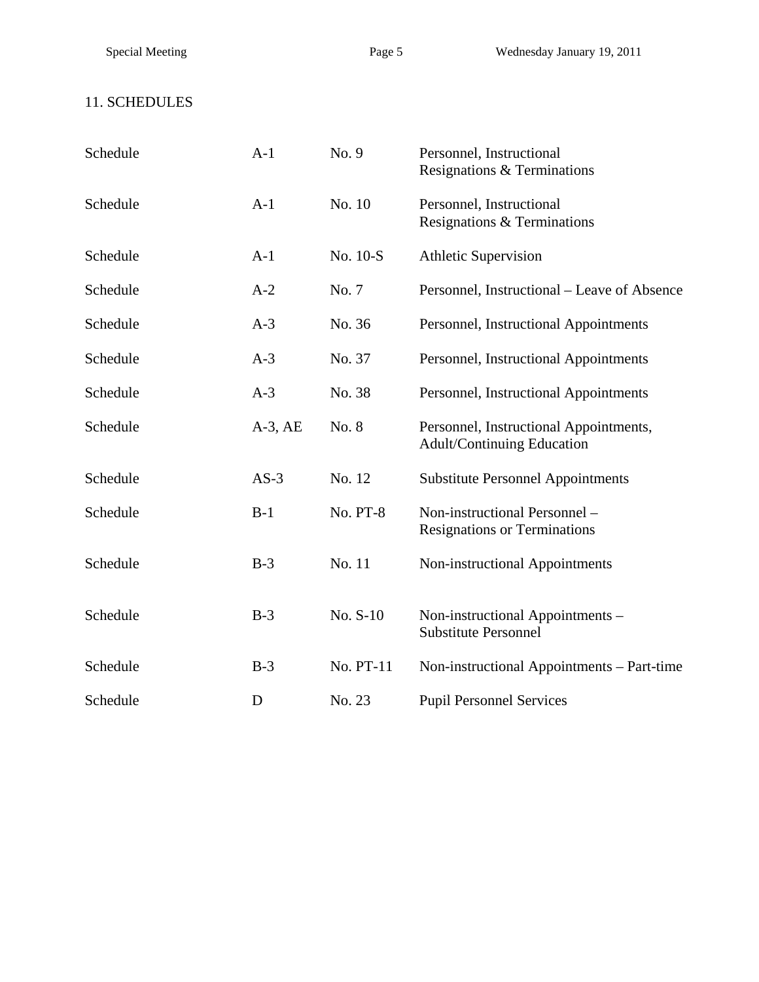# 11. SCHEDULES

| Schedule | $A-1$        | No. 9           | Personnel, Instructional<br>Resignations & Terminations                     |
|----------|--------------|-----------------|-----------------------------------------------------------------------------|
| Schedule | $A-1$        | No. 10          | Personnel, Instructional<br>Resignations & Terminations                     |
| Schedule | $A-1$        | No. 10-S        | <b>Athletic Supervision</b>                                                 |
| Schedule | $A-2$        | No. 7           | Personnel, Instructional – Leave of Absence                                 |
| Schedule | $A-3$        | No. 36          | Personnel, Instructional Appointments                                       |
| Schedule | $A-3$        | No. 37          | Personnel, Instructional Appointments                                       |
| Schedule | $A-3$        | No. 38          | Personnel, Instructional Appointments                                       |
| Schedule | $A-3$ , $AE$ | No. 8           | Personnel, Instructional Appointments,<br><b>Adult/Continuing Education</b> |
| Schedule | $AS-3$       | No. 12          | <b>Substitute Personnel Appointments</b>                                    |
| Schedule | $B-1$        | <b>No. PT-8</b> | Non-instructional Personnel -<br><b>Resignations or Terminations</b>        |
| Schedule | $B-3$        | No. 11          | Non-instructional Appointments                                              |
| Schedule | $B-3$        | No. S-10        | Non-instructional Appointments -<br><b>Substitute Personnel</b>             |
| Schedule | $B-3$        | No. PT-11       | Non-instructional Appointments – Part-time                                  |
| Schedule | D            | No. 23          | <b>Pupil Personnel Services</b>                                             |